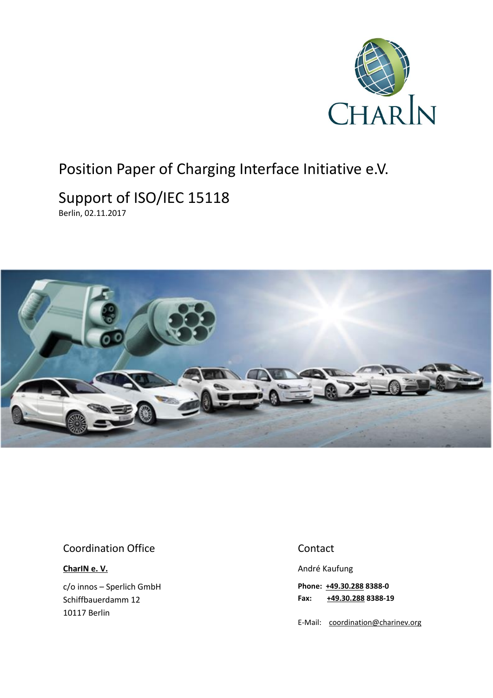

## Position Paper of Charging Interface Initiative e.V.

# Support of ISO/IEC 15118

Berlin, 02.11.2017



#### Coordination Office

**[CharIN e. V.](http://charinev.org/news/)**

c/o innos – Sperlich GmbH Schiffbauerdamm 12 10117 Berlin

#### Contact

André Kaufung

**Phone: [+49.30.288](tel:+49%2030%20288) 8388-0 Fax: [+49.30.288](tel:+49%2030%20288) 8388-19**

E-Mail: [coordination@charinev.org](mailto:andre.kaufung@charinev.org)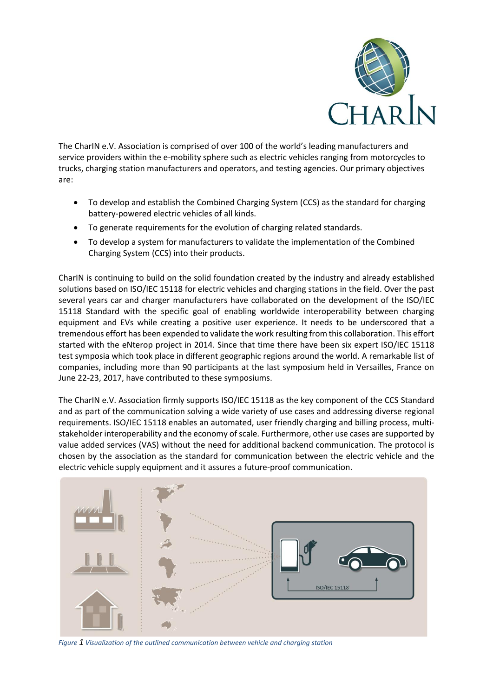

The CharIN e.V. Association is comprised of over 100 of the world's leading manufacturers and service providers within the e-mobility sphere such as electric vehicles ranging from motorcycles to trucks, charging station manufacturers and operators, and testing agencies. Our primary objectives are:

- To develop and establish the Combined Charging System (CCS) as the standard for charging battery-powered electric vehicles of all kinds.
- To generate requirements for the evolution of charging related standards.
- To develop a system for manufacturers to validate the implementation of the Combined Charging System (CCS) into their products.

CharIN is continuing to build on the solid foundation created by the industry and already established solutions based on ISO/IEC 15118 for electric vehicles and charging stations in the field. Over the past several years car and charger manufacturers have collaborated on the development of the ISO/IEC 15118 Standard with the specific goal of enabling worldwide interoperability between charging equipment and EVs while creating a positive user experience. It needs to be underscored that a tremendous effort has been expended to validate the work resulting from this collaboration. This effort started with the eNterop project in 2014. Since that time there have been six expert ISO/IEC 15118 test symposia which took place in different geographic regions around the world. A remarkable list of companies, including more than 90 participants at the last symposium held in Versailles, France on June 22-23, 2017, have contributed to these symposiums.

The CharIN e.V. Association firmly supports ISO/IEC 15118 as the key component of the CCS Standard and as part of the communication solving a wide variety of use cases and addressing diverse regional requirements. ISO/IEC 15118 enables an automated, user friendly charging and billing process, multistakeholder interoperability and the economy of scale. Furthermore, other use cases are supported by value added services (VAS) without the need for additional backend communication. The protocol is chosen by the association as the standard for communication between the electric vehicle and the electric vehicle supply equipment and it assures a future-proof communication.



*Figure 1 Visualization of the outlined communication between vehicle and charging station*